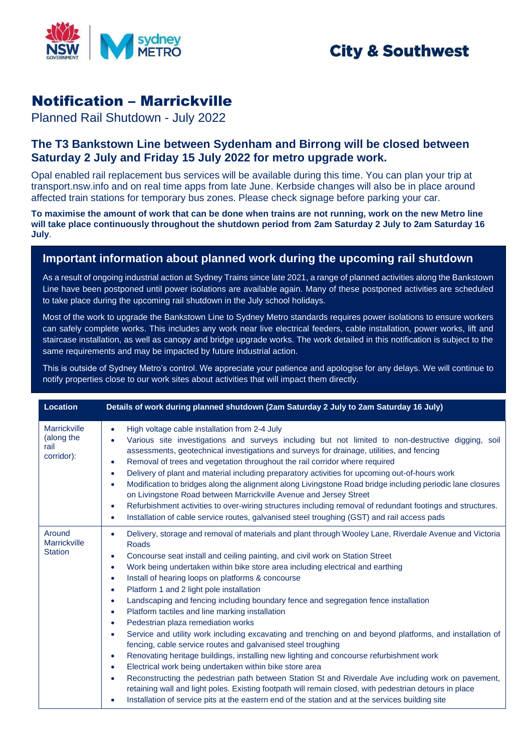

## **City & Southwest**

## Notification – Marrickville

Planned Rail Shutdown - July 2022

## **The T3 Bankstown Line between Sydenham and Birrong will be closed between Saturday 2 July and Friday 15 July 2022 for metro upgrade work.**

Opal enabled rail replacement bus services will be available during this time. You can plan your trip at transport.nsw.info and on real time apps from late June. Kerbside changes will also be in place around affected train stations for temporary bus zones. Please check signage before parking your car.

**To maximise the amount of work that can be done when trains are not running, work on the new Metro line will take place continuously throughout the shutdown period from 2am Saturday 2 July to 2am Saturday 16 July**.

## **Important information about planned work during the upcoming rail shutdown**

As a result of ongoing industrial action at Sydney Trains since late 2021, a range of planned activities along the Bankstown Line have been postponed until power isolations are available again. Many of these postponed activities are scheduled to take place during the upcoming rail shutdown in the July school holidays.

Most of the work to upgrade the Bankstown Line to Sydney Metro standards requires power isolations to ensure workers can safely complete works. This includes any work near live electrical feeders, cable installation, power works, lift and staircase installation, as well as canopy and bridge upgrade works. The work detailed in this notification is subject to the same requirements and may be impacted by future industrial action.

This is outside of Sydney Metro's control. We appreciate your patience and apologise for any delays. We will continue to notify properties close to our work sites about activities that will impact them directly.

| <b>Location</b>                                         | Details of work during planned shutdown (2am Saturday 2 July to 2am Saturday 16 July)                                                                                                                                                                                                                                                                                                                                                                                                                                                                                                                                                                                                                                                                                                                                                                                                                                                                                                                                                                                                                                                                                                                                                                                                                                                                                                   |
|---------------------------------------------------------|-----------------------------------------------------------------------------------------------------------------------------------------------------------------------------------------------------------------------------------------------------------------------------------------------------------------------------------------------------------------------------------------------------------------------------------------------------------------------------------------------------------------------------------------------------------------------------------------------------------------------------------------------------------------------------------------------------------------------------------------------------------------------------------------------------------------------------------------------------------------------------------------------------------------------------------------------------------------------------------------------------------------------------------------------------------------------------------------------------------------------------------------------------------------------------------------------------------------------------------------------------------------------------------------------------------------------------------------------------------------------------------------|
| <b>Marrickville</b><br>(along the<br>rail<br>corridor): | High voltage cable installation from 2-4 July<br>$\bullet$<br>Various site investigations and surveys including but not limited to non-destructive digging, soil<br>assessments, geotechnical investigations and surveys for drainage, utilities, and fencing<br>Removal of trees and vegetation throughout the rail corridor where required<br>$\bullet$<br>Delivery of plant and material including preparatory activities for upcoming out-of-hours work<br>$\bullet$<br>Modification to bridges along the alignment along Livingstone Road bridge including periodic lane closures<br>$\bullet$<br>on Livingstone Road between Marrickville Avenue and Jersey Street<br>Refurbishment activities to over-wiring structures including removal of redundant footings and structures.<br>$\bullet$<br>Installation of cable service routes, galvanised steel troughing (GST) and rail access pads<br>۰                                                                                                                                                                                                                                                                                                                                                                                                                                                                                 |
| Around<br>Marrickville<br><b>Station</b>                | Delivery, storage and removal of materials and plant through Wooley Lane, Riverdale Avenue and Victoria<br>$\bullet$<br>Roads<br>Concourse seat install and ceiling painting, and civil work on Station Street<br>$\bullet$<br>Work being undertaken within bike store area including electrical and earthing<br>$\bullet$<br>Install of hearing loops on platforms & concourse<br>$\bullet$<br>Platform 1 and 2 light pole installation<br>$\bullet$<br>Landscaping and fencing including boundary fence and segregation fence installation<br>$\bullet$<br>Platform tactiles and line marking installation<br>$\bullet$<br>Pedestrian plaza remediation works<br>$\bullet$<br>Service and utility work including excavating and trenching on and beyond platforms, and installation of<br>$\bullet$<br>fencing, cable service routes and galvanised steel troughing<br>Renovating heritage buildings, installing new lighting and concourse refurbishment work<br>$\bullet$<br>Electrical work being undertaken within bike store area<br>$\bullet$<br>Reconstructing the pedestrian path between Station St and Riverdale Ave including work on pavement,<br>$\bullet$<br>retaining wall and light poles. Existing footpath will remain closed, with pedestrian detours in place<br>Installation of service pits at the eastern end of the station and at the services building site |